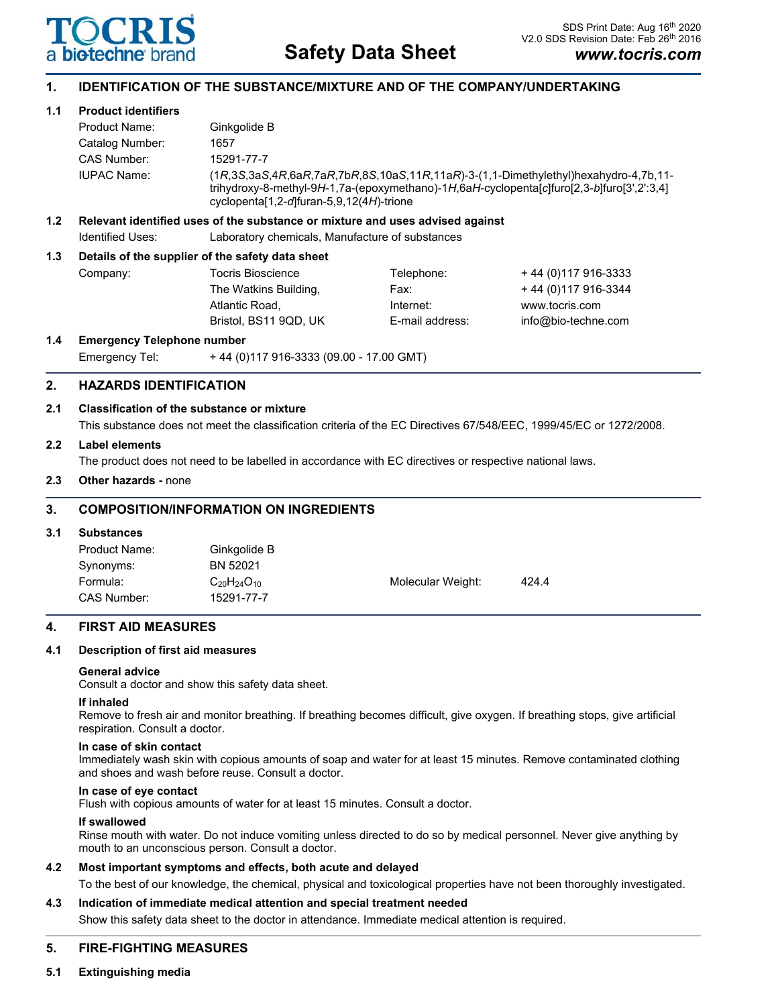

# **1. IDENTIFICATION OF THE SUBSTANCE/MIXTURE AND OF THE COMPANY/UNDERTAKING**

## **1.1 Product identifiers**

|                  | Product Name:                                                                 | Ginkgolide B                                                                                                                                                                                                                                               |  |  |
|------------------|-------------------------------------------------------------------------------|------------------------------------------------------------------------------------------------------------------------------------------------------------------------------------------------------------------------------------------------------------|--|--|
|                  | Catalog Number:                                                               | 1657                                                                                                                                                                                                                                                       |  |  |
|                  | CAS Number:                                                                   | 15291-77-7                                                                                                                                                                                                                                                 |  |  |
|                  | <b>IUPAC Name:</b>                                                            | $(1R, 3S, 3aS, 4R, 6aR, 7aR, 7bR, 8S, 10aS, 11R, 11aR) - 3-(1, 1-Dimethylethyl)hexahydro-4, 7b, 11-$<br>trihydroxy-8-methyl-9H-1,7a-(epoxymethano)-1H,6aH-cyclopenta[c]furo[2,3-b]furo[3',2':3,4]<br>cyclopenta <sup>[1,2-d]</sup> furan-5,9,12(4H)-trione |  |  |
| 1.2 <sub>1</sub> | Relevant identified uses of the substance or mixture and uses advised against |                                                                                                                                                                                                                                                            |  |  |
|                  | Identified Uses:                                                              | Laboratory chemicals, Manufacture of substances                                                                                                                                                                                                            |  |  |
| 1.3              | Details of the supplier of the safety data sheet                              |                                                                                                                                                                                                                                                            |  |  |

| Company: | Tocris Bioscience     | Telephone:      | +44 (0) 117 916-3333 |
|----------|-----------------------|-----------------|----------------------|
|          | The Watkins Building, | Fax:            | +44 (0) 117 916-3344 |
|          | Atlantic Road.        | Internet:       | www.tocris.com       |
|          | Bristol. BS11 9QD. UK | E-mail address: | info@bio-techne.com  |

## **1.4 Emergency Telephone number**

Emergency Tel: + 44 (0)117 916-3333 (09.00 - 17.00 GMT)

## **2. HAZARDS IDENTIFICATION**

### **2.1 Classification of the substance or mixture**

This substance does not meet the classification criteria of the EC Directives 67/548/EEC, 1999/45/EC or 1272/2008.

### **2.2 Label elements**

The product does not need to be labelled in accordance with EC directives or respective national laws.

### **2.3 Other hazards -** none

# **3. COMPOSITION/INFORMATION ON INGREDIENTS**

#### **3.1 Substances**

| Product Name: | Ginkgolide B         |                   |       |
|---------------|----------------------|-------------------|-------|
| Synonyms:     | BN 52021             |                   |       |
| Formula:      | $C_{20}H_{24}O_{10}$ | Molecular Weight: | 424.4 |
| CAS Number:   | 15291-77-7           |                   |       |

## **4. FIRST AID MEASURES**

#### **4.1 Description of first aid measures**

#### **General advice**

Consult a doctor and show this safety data sheet.

#### **If inhaled**

Remove to fresh air and monitor breathing. If breathing becomes difficult, give oxygen. If breathing stops, give artificial respiration. Consult a doctor.

#### **In case of skin contact**

Immediately wash skin with copious amounts of soap and water for at least 15 minutes. Remove contaminated clothing and shoes and wash before reuse. Consult a doctor.

### **In case of eye contact**

Flush with copious amounts of water for at least 15 minutes. Consult a doctor.

#### **If swallowed**

Rinse mouth with water. Do not induce vomiting unless directed to do so by medical personnel. Never give anything by mouth to an unconscious person. Consult a doctor.

#### **4.2 Most important symptoms and effects, both acute and delayed**

To the best of our knowledge, the chemical, physical and toxicological properties have not been thoroughly investigated.

### **4.3 Indication of immediate medical attention and special treatment needed**

Show this safety data sheet to the doctor in attendance. Immediate medical attention is required.

## **5. FIRE-FIGHTING MEASURES**

## **5.1 Extinguishing media**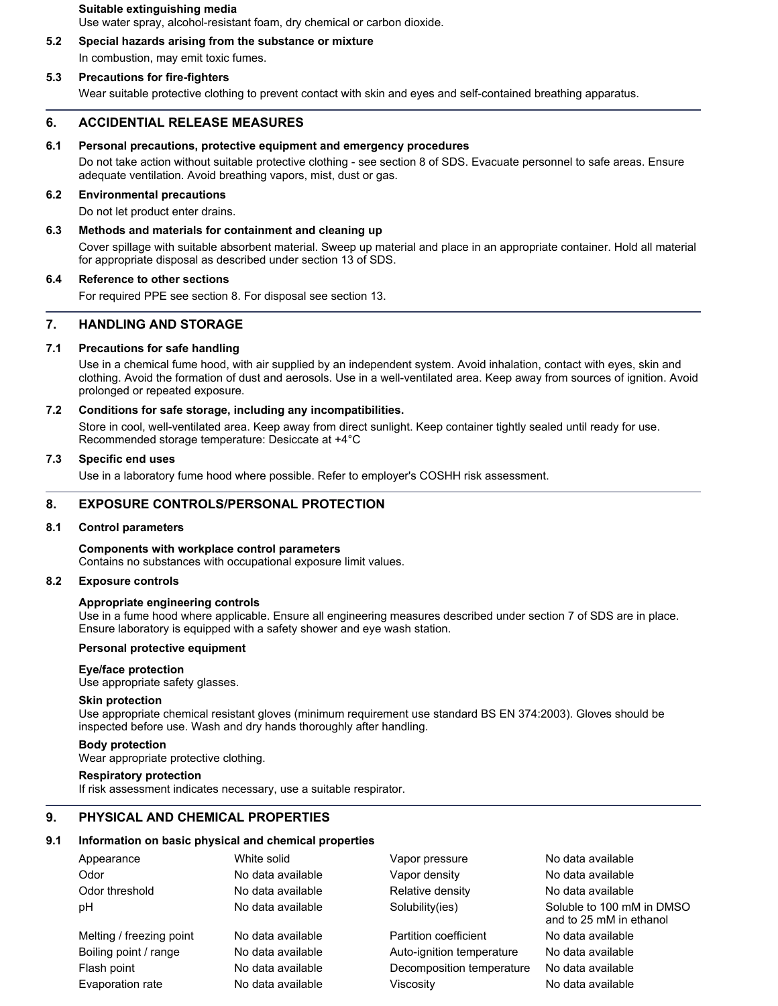**Suitable extinguishing media** Use water spray, alcohol-resistant foam, dry chemical or carbon dioxide.

# **5.2 Special hazards arising from the substance or mixture** In combustion, may emit toxic fumes.

# **5.3 Precautions for fire-fighters**

Wear suitable protective clothing to prevent contact with skin and eyes and self-contained breathing apparatus.

## **6. ACCIDENTIAL RELEASE MEASURES**

#### **6.1 Personal precautions, protective equipment and emergency procedures**

Do not take action without suitable protective clothing - see section 8 of SDS. Evacuate personnel to safe areas. Ensure adequate ventilation. Avoid breathing vapors, mist, dust or gas.

### **6.2 Environmental precautions**

Do not let product enter drains.

## **6.3 Methods and materials for containment and cleaning up**

Cover spillage with suitable absorbent material. Sweep up material and place in an appropriate container. Hold all material for appropriate disposal as described under section 13 of SDS.

#### **6.4 Reference to other sections**

For required PPE see section 8. For disposal see section 13.

# **7. HANDLING AND STORAGE**

### **7.1 Precautions for safe handling**

Use in a chemical fume hood, with air supplied by an independent system. Avoid inhalation, contact with eyes, skin and clothing. Avoid the formation of dust and aerosols. Use in a well-ventilated area. Keep away from sources of ignition. Avoid prolonged or repeated exposure.

### **7.2 Conditions for safe storage, including any incompatibilities.**

Store in cool, well-ventilated area. Keep away from direct sunlight. Keep container tightly sealed until ready for use. Recommended storage temperature: Desiccate at +4°C

# **7.3 Specific end uses**

Use in a laboratory fume hood where possible. Refer to employer's COSHH risk assessment.

# **8. EXPOSURE CONTROLS/PERSONAL PROTECTION**

#### **8.1 Control parameters**

**Components with workplace control parameters** Contains no substances with occupational exposure limit values.

#### **8.2 Exposure controls**

#### **Appropriate engineering controls**

Use in a fume hood where applicable. Ensure all engineering measures described under section 7 of SDS are in place. Ensure laboratory is equipped with a safety shower and eye wash station.

### **Personal protective equipment**

#### **Eye/face protection**

Use appropriate safety glasses.

#### **Skin protection**

Use appropriate chemical resistant gloves (minimum requirement use standard BS EN 374:2003). Gloves should be inspected before use. Wash and dry hands thoroughly after handling.

#### **Body protection**

Wear appropriate protective clothing.

#### **Respiratory protection**

If risk assessment indicates necessary, use a suitable respirator.

# **9. PHYSICAL AND CHEMICAL PROPERTIES**

### **9.1 Information on basic physical and chemical properties**

| Appearance               | White solid       | Vapor pressure            | No data available                                    |
|--------------------------|-------------------|---------------------------|------------------------------------------------------|
| Odor                     | No data available | Vapor density             | No data available                                    |
| Odor threshold           | No data available | Relative density          | No data available                                    |
| рH                       | No data available | Solubility(ies)           | Soluble to 100 mM in DMSO<br>and to 25 mM in ethanol |
| Melting / freezing point | No data available | Partition coefficient     | No data available                                    |
| Boiling point / range    | No data available | Auto-ignition temperature | No data available                                    |
| Flash point              | No data available | Decomposition temperature | No data available                                    |
| Evaporation rate         | No data available | Viscosity                 | No data available                                    |
|                          |                   |                           |                                                      |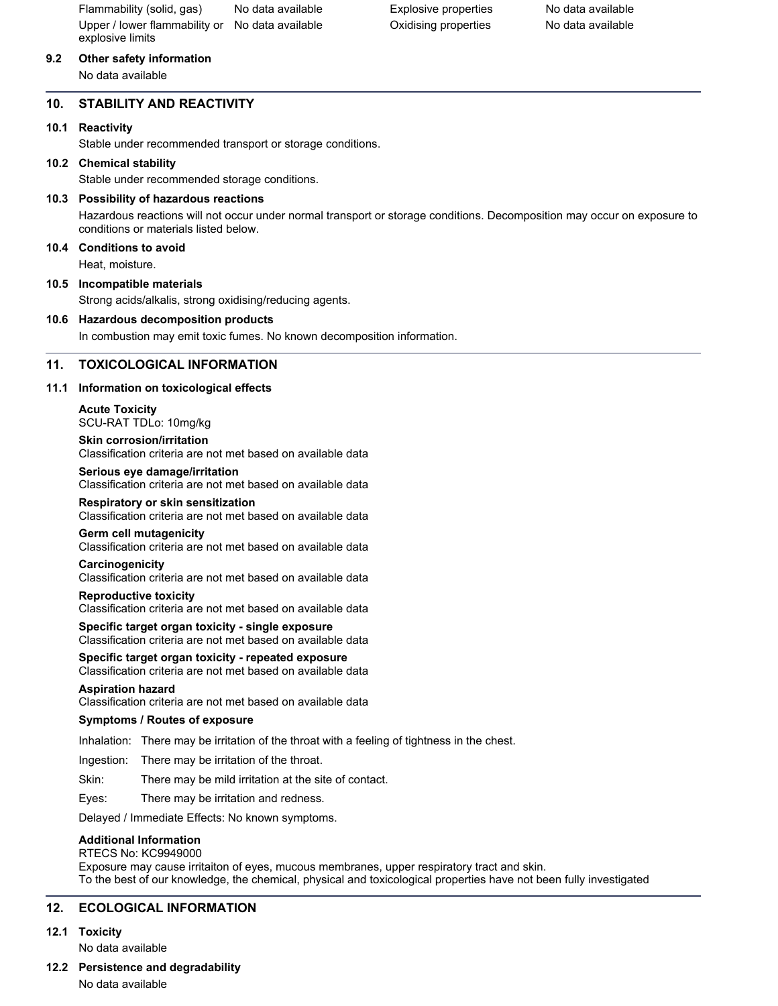Flammability (solid, gas) No data available Explosive properties No data available Upper / lower flammability or No data available explosive limits

# **9.2 Other safety information**

No data available

# **10. STABILITY AND REACTIVITY**

## **10.1 Reactivity**

Stable under recommended transport or storage conditions.

### **10.2 Chemical stability**

Stable under recommended storage conditions.

## **10.3 Possibility of hazardous reactions**

Hazardous reactions will not occur under normal transport or storage conditions. Decomposition may occur on exposure to conditions or materials listed below.

## **10.4 Conditions to avoid**

Heat, moisture.

### **10.5 Incompatible materials**

Strong acids/alkalis, strong oxidising/reducing agents.

### **10.6 Hazardous decomposition products**

In combustion may emit toxic fumes. No known decomposition information.

## **11. TOXICOLOGICAL INFORMATION**

### **11.1 Information on toxicological effects**

**Acute Toxicity** SCU-RAT TDLo: 10mg/kg **Skin corrosion/irritation**

Classification criteria are not met based on available data **Serious eye damage/irritation**

Classification criteria are not met based on available data

#### **Respiratory or skin sensitization**

Classification criteria are not met based on available data

#### **Germ cell mutagenicity**

Classification criteria are not met based on available data

#### **Carcinogenicity**

Classification criteria are not met based on available data

#### **Reproductive toxicity**

Classification criteria are not met based on available data

#### **Specific target organ toxicity - single exposure** Classification criteria are not met based on available data

# **Specific target organ toxicity - repeated exposure**

Classification criteria are not met based on available data

#### **Aspiration hazard**

Classification criteria are not met based on available data

#### **Symptoms / Routes of exposure**

Inhalation: There may be irritation of the throat with a feeling of tightness in the chest.

Ingestion: There may be irritation of the throat.

Skin: There may be mild irritation at the site of contact.

Eyes: There may be irritation and redness.

Delayed / Immediate Effects: No known symptoms.

## **Additional Information**

RTECS No: KC9949000 Exposure may cause irritaiton of eyes, mucous membranes, upper respiratory tract and skin. To the best of our knowledge, the chemical, physical and toxicological properties have not been fully investigated

## **12. ECOLOGICAL INFORMATION**

#### **12.1 Toxicity**

No data available

## **12.2 Persistence and degradability**

No data available